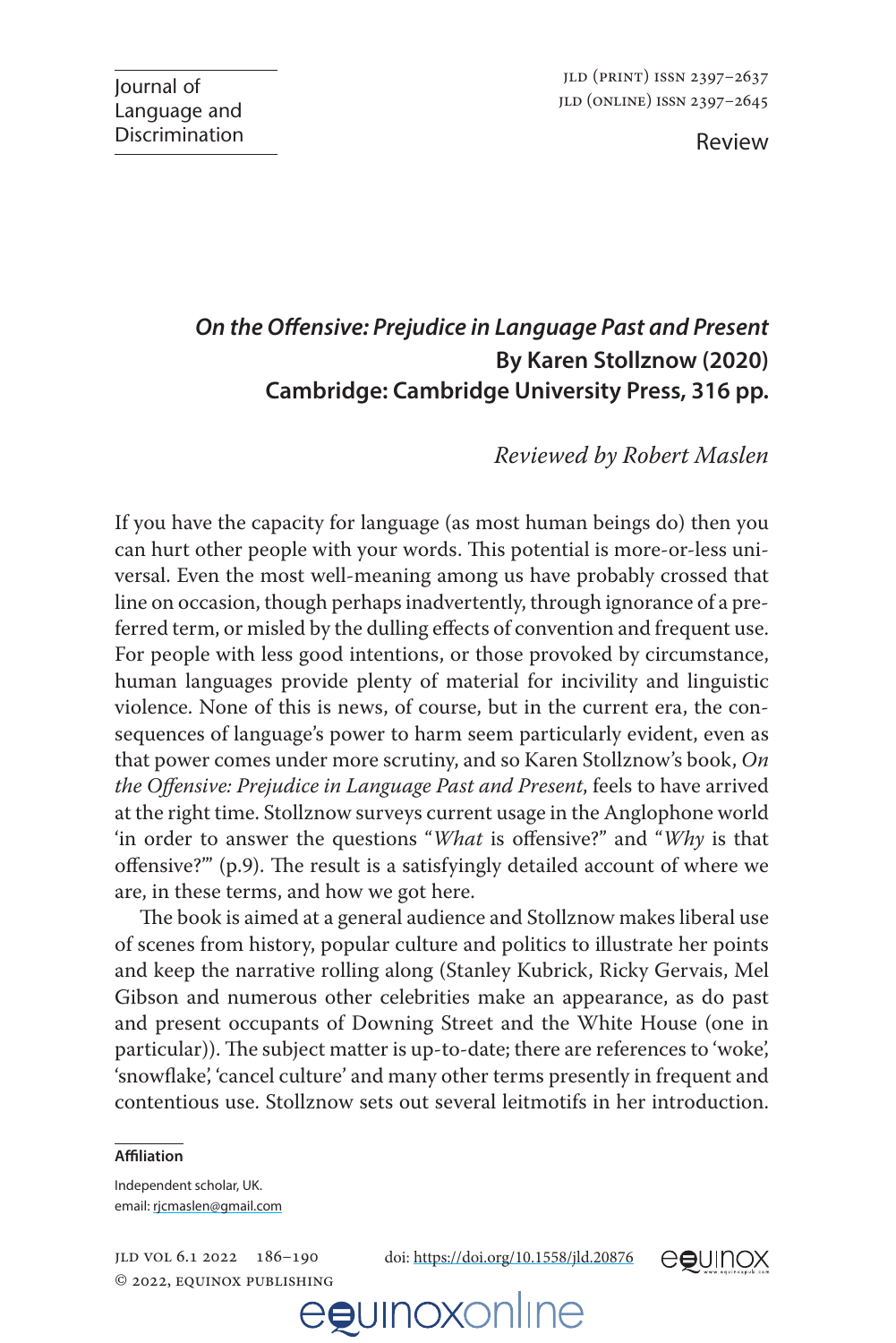Review

## *On the Offensive: Prejudice in Language Past and Present*  **By Karen Stollznow (2020) Cambridge: Cambridge University Press, 316 pp.**

## *Reviewed by Robert Maslen*

If you have the capacity for language (as most human beings do) then you can hurt other people with your words. This potential is more-or-less universal. Even the most well-meaning among us have probably crossed that line on occasion, though perhaps inadvertently, through ignorance of a preferred term, or misled by the dulling effects of convention and frequent use. For people with less good intentions, or those provoked by circumstance, human languages provide plenty of material for incivility and linguistic violence. None of this is news, of course, but in the current era, the consequences of language's power to harm seem particularly evident, even as that power comes under more scrutiny, and so Karen Stollznow's book, *On the Offensive: Prejudice in Language Past and Present*, feels to have arrived at the right time. Stollznow surveys current usage in the Anglophone world 'in order to answer the questions "*What* is offensive?" and "*Why* is that offensive?"' (p.9). The result is a satisfyingly detailed account of where we are, in these terms, and how we got here.

The book is aimed at a general audience and Stollznow makes liberal use of scenes from history, popular culture and politics to illustrate her points and keep the narrative rolling along (Stanley Kubrick, Ricky Gervais, Mel Gibson and numerous other celebrities make an appearance, as do past and present occupants of Downing Street and the White House (one in particular)). The subject matter is up-to-date; there are references to 'woke', 'snowflake', 'cancel culture' and many other terms presently in frequent and contentious use. Stollznow sets out several leitmotifs in her introduction.

#### **Affiliation**

Independent scholar, UK. email: [rjcmaslen@gmail.com](mailto:rjcmaslen@gmail.com)

jld vol 6.1 2022 186–190 © 2022, equinox publishing doi:<https://doi.org/10.1558/jld.20876>



## egunoxonline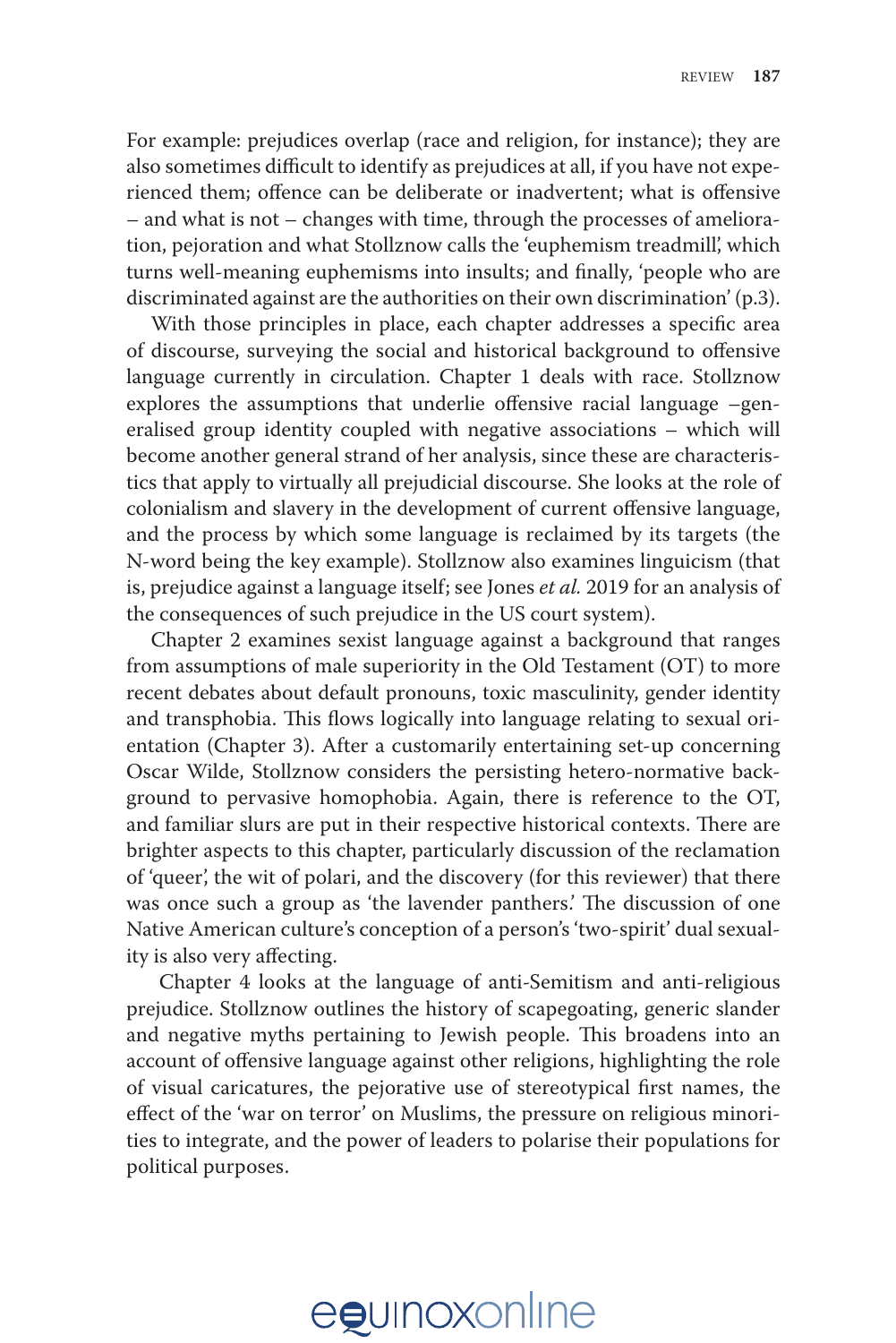For example: prejudices overlap (race and religion, for instance); they are also sometimes difficult to identify as prejudices at all, if you have not experienced them; offence can be deliberate or inadvertent; what is offensive – and what is not – changes with time, through the processes of amelioration, pejoration and what Stollznow calls the 'euphemism treadmill', which turns well-meaning euphemisms into insults; and finally, 'people who are discriminated against are the authorities on their own discrimination' (p.3).

With those principles in place, each chapter addresses a specific area of discourse, surveying the social and historical background to offensive language currently in circulation. Chapter 1 deals with race. Stollznow explores the assumptions that underlie offensive racial language –generalised group identity coupled with negative associations – which will become another general strand of her analysis, since these are characteristics that apply to virtually all prejudicial discourse. She looks at the role of colonialism and slavery in the development of current offensive language, and the process by which some language is reclaimed by its targets (the N-word being the key example). Stollznow also examines linguicism (that is, prejudice against a language itself; see Jones *et al.* 2019 for an analysis of the consequences of such prejudice in the US court system).

Chapter 2 examines sexist language against a background that ranges from assumptions of male superiority in the Old Testament (OT) to more recent debates about default pronouns, toxic masculinity, gender identity and transphobia. This flows logically into language relating to sexual orientation (Chapter 3). After a customarily entertaining set-up concerning Oscar Wilde, Stollznow considers the persisting hetero-normative background to pervasive homophobia. Again, there is reference to the OT, and familiar slurs are put in their respective historical contexts. There are brighter aspects to this chapter, particularly discussion of the reclamation of 'queer', the wit of polari, and the discovery (for this reviewer) that there was once such a group as 'the lavender panthers.' The discussion of one Native American culture's conception of a person's 'two-spirit' dual sexuality is also very affecting.

 Chapter 4 looks at the language of anti-Semitism and anti-religious prejudice. Stollznow outlines the history of scapegoating, generic slander and negative myths pertaining to Jewish people. This broadens into an account of offensive language against other religions, highlighting the role of visual caricatures, the pejorative use of stereotypical first names, the effect of the 'war on terror' on Muslims, the pressure on religious minorities to integrate, and the power of leaders to polarise their populations for political purposes.

# egunoxonline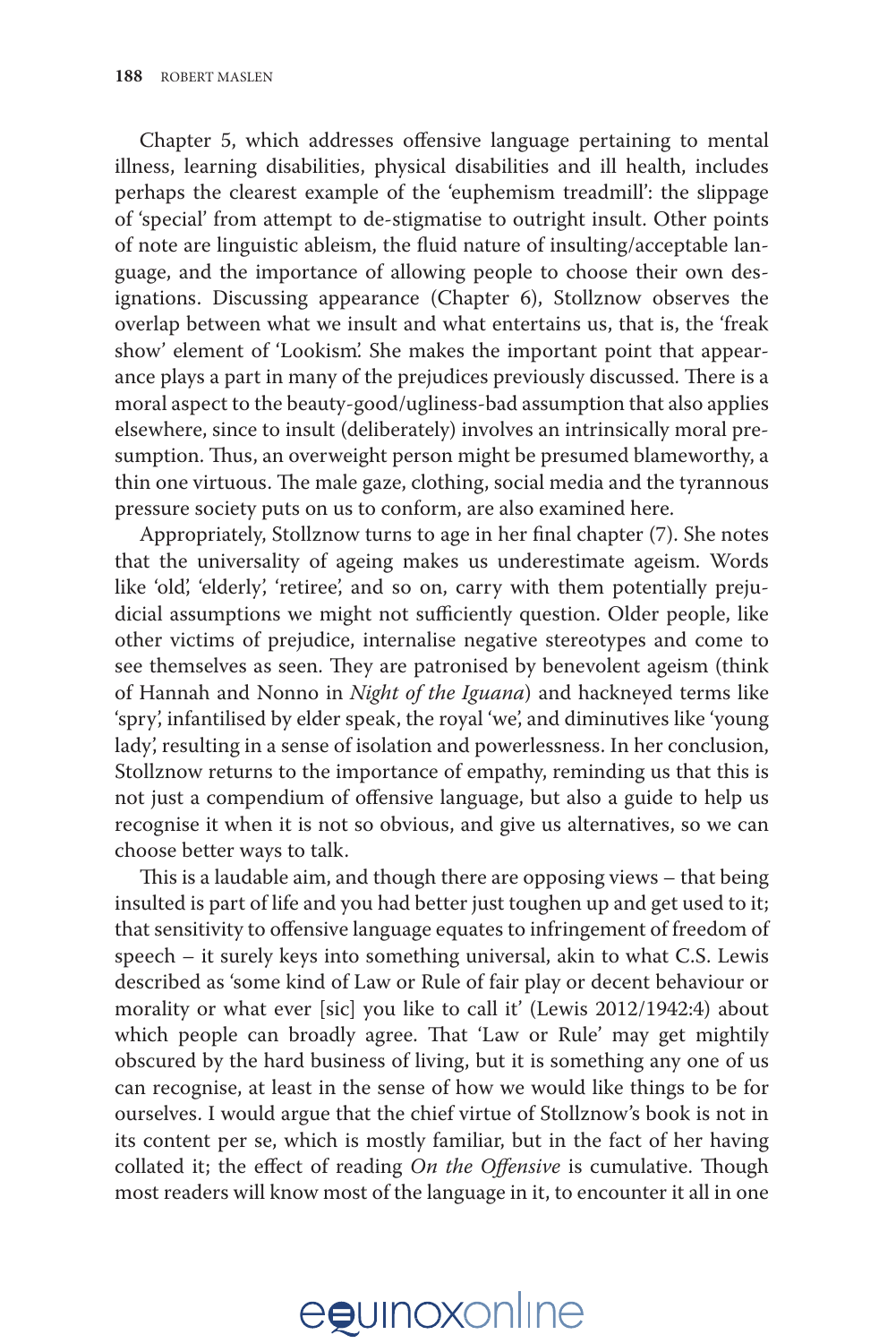Chapter 5, which addresses offensive language pertaining to mental illness, learning disabilities, physical disabilities and ill health, includes perhaps the clearest example of the 'euphemism treadmill': the slippage of 'special' from attempt to de-stigmatise to outright insult. Other points of note are linguistic ableism, the fluid nature of insulting/acceptable language, and the importance of allowing people to choose their own designations. Discussing appearance (Chapter 6), Stollznow observes the overlap between what we insult and what entertains us, that is, the 'freak show' element of 'Lookism'. She makes the important point that appearance plays a part in many of the prejudices previously discussed. There is a moral aspect to the beauty-good/ugliness-bad assumption that also applies elsewhere, since to insult (deliberately) involves an intrinsically moral presumption. Thus, an overweight person might be presumed blameworthy, a thin one virtuous. The male gaze, clothing, social media and the tyrannous pressure society puts on us to conform, are also examined here.

Appropriately, Stollznow turns to age in her final chapter (7). She notes that the universality of ageing makes us underestimate ageism. Words like 'old', 'elderly', 'retiree', and so on, carry with them potentially prejudicial assumptions we might not sufficiently question. Older people, like other victims of prejudice, internalise negative stereotypes and come to see themselves as seen. They are patronised by benevolent ageism (think of Hannah and Nonno in *Night of the Iguana*) and hackneyed terms like 'spry', infantilised by elder speak, the royal 'we', and diminutives like 'young lady', resulting in a sense of isolation and powerlessness. In her conclusion, Stollznow returns to the importance of empathy, reminding us that this is not just a compendium of offensive language, but also a guide to help us recognise it when it is not so obvious, and give us alternatives, so we can choose better ways to talk.

This is a laudable aim, and though there are opposing views – that being insulted is part of life and you had better just toughen up and get used to it; that sensitivity to offensive language equates to infringement of freedom of speech – it surely keys into something universal, akin to what C.S. Lewis described as 'some kind of Law or Rule of fair play or decent behaviour or morality or what ever [sic] you like to call it' (Lewis 2012/1942:4) about which people can broadly agree. That 'Law or Rule' may get mightily obscured by the hard business of living, but it is something any one of us can recognise, at least in the sense of how we would like things to be for ourselves. I would argue that the chief virtue of Stollznow's book is not in its content per se, which is mostly familiar, but in the fact of her having collated it; the effect of reading *On the Offensive* is cumulative. Though most readers will know most of the language in it, to encounter it all in one

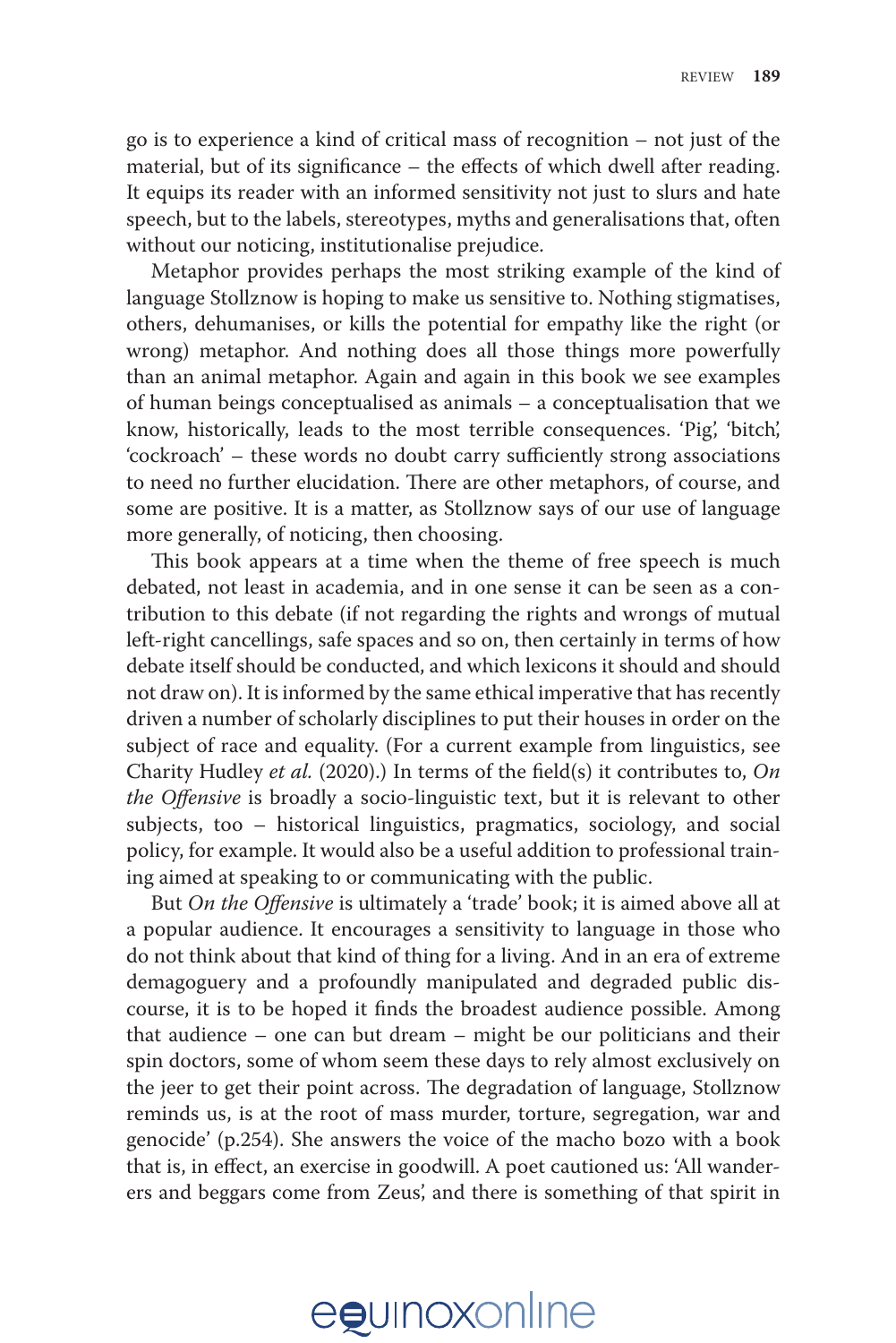go is to experience a kind of critical mass of recognition – not just of the material, but of its significance – the effects of which dwell after reading. It equips its reader with an informed sensitivity not just to slurs and hate speech, but to the labels, stereotypes, myths and generalisations that, often without our noticing, institutionalise prejudice.

Metaphor provides perhaps the most striking example of the kind of language Stollznow is hoping to make us sensitive to. Nothing stigmatises, others, dehumanises, or kills the potential for empathy like the right (or wrong) metaphor. And nothing does all those things more powerfully than an animal metaphor. Again and again in this book we see examples of human beings conceptualised as animals – a conceptualisation that we know, historically, leads to the most terrible consequences. 'Pig', 'bitch', 'cockroach' – these words no doubt carry sufficiently strong associations to need no further elucidation. There are other metaphors, of course, and some are positive. It is a matter, as Stollznow says of our use of language more generally, of noticing, then choosing.

This book appears at a time when the theme of free speech is much debated, not least in academia, and in one sense it can be seen as a contribution to this debate (if not regarding the rights and wrongs of mutual left-right cancellings, safe spaces and so on, then certainly in terms of how debate itself should be conducted, and which lexicons it should and should not draw on). It is informed by the same ethical imperative that has recently driven a number of scholarly disciplines to put their houses in order on the subject of race and equality. (For a current example from linguistics, see Charity Hudley *et al.* (2020).) In terms of the field(s) it contributes to, *On the Offensive* is broadly a socio-linguistic text, but it is relevant to other subjects, too – historical linguistics, pragmatics, sociology, and social policy, for example. It would also be a useful addition to professional training aimed at speaking to or communicating with the public.

But *On the Offensive* is ultimately a 'trade' book; it is aimed above all at a popular audience. It encourages a sensitivity to language in those who do not think about that kind of thing for a living. And in an era of extreme demagoguery and a profoundly manipulated and degraded public discourse, it is to be hoped it finds the broadest audience possible. Among that audience – one can but dream – might be our politicians and their spin doctors, some of whom seem these days to rely almost exclusively on the jeer to get their point across. The degradation of language, Stollznow reminds us, is at the root of mass murder, torture, segregation, war and genocide' (p.254). She answers the voice of the macho bozo with a book that is, in effect, an exercise in goodwill. A poet cautioned us: 'All wanderers and beggars come from Zeus', and there is something of that spirit in

# egunoxonline